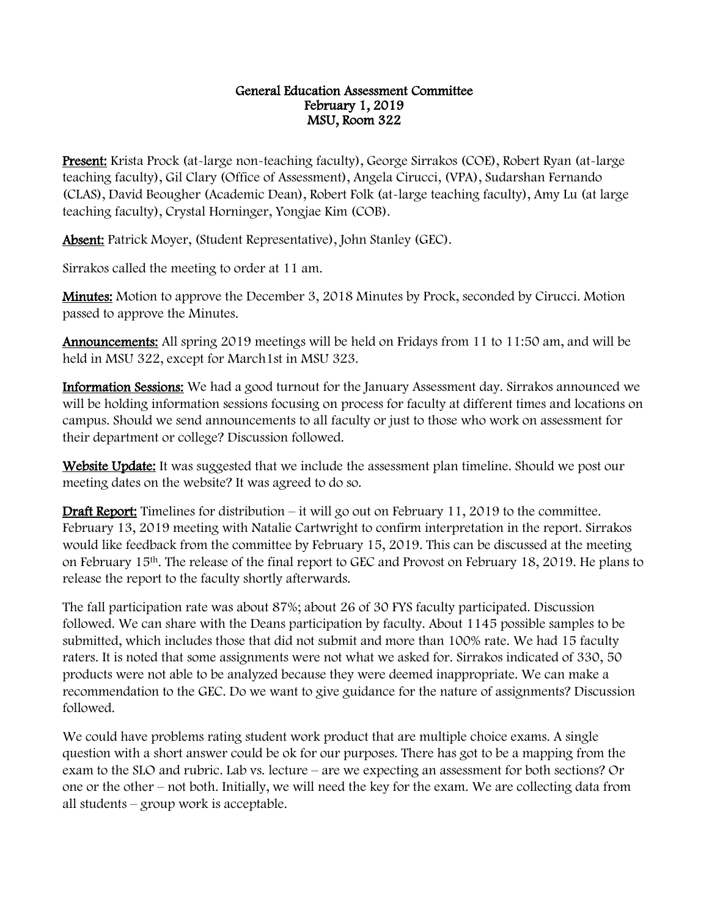## General Education Assessment Committee February 1, 2019 MSU, Room 322

Present: Krista Prock (at-large non-teaching faculty), George Sirrakos (COE), Robert Ryan (at-large teaching faculty), Gil Clary (Office of Assessment), Angela Cirucci, (VPA), Sudarshan Fernando (CLAS), David Beougher (Academic Dean), Robert Folk (at-large teaching faculty), Amy Lu (at large teaching faculty), Crystal Horninger, Yongjae Kim (COB).

Absent: Patrick Moyer, (Student Representative), John Stanley (GEC).

Sirrakos called the meeting to order at 11 am.

Minutes: Motion to approve the December 3, 2018 Minutes by Prock, seconded by Cirucci. Motion passed to approve the Minutes.

Announcements: All spring 2019 meetings will be held on Fridays from 11 to 11:50 am, and will be held in MSU 322, except for March1st in MSU 323.

Information Sessions: We had a good turnout for the January Assessment day. Sirrakos announced we will be holding information sessions focusing on process for faculty at different times and locations on campus. Should we send announcements to all faculty or just to those who work on assessment for their department or college? Discussion followed.

Website Update: It was suggested that we include the assessment plan timeline. Should we post our meeting dates on the website? It was agreed to do so.

**Draft Report:** Timelines for distribution – it will go out on February 11, 2019 to the committee. February 13, 2019 meeting with Natalie Cartwright to confirm interpretation in the report. Sirrakos would like feedback from the committee by February 15, 2019. This can be discussed at the meeting on February 15th. The release of the final report to GEC and Provost on February 18, 2019. He plans to release the report to the faculty shortly afterwards.

The fall participation rate was about 87%; about 26 of 30 FYS faculty participated. Discussion followed. We can share with the Deans participation by faculty. About 1145 possible samples to be submitted, which includes those that did not submit and more than 100% rate. We had 15 faculty raters. It is noted that some assignments were not what we asked for. Sirrakos indicated of 330, 50 products were not able to be analyzed because they were deemed inappropriate. We can make a recommendation to the GEC. Do we want to give guidance for the nature of assignments? Discussion followed.

We could have problems rating student work product that are multiple choice exams. A single question with a short answer could be ok for our purposes. There has got to be a mapping from the exam to the SLO and rubric. Lab vs. lecture – are we expecting an assessment for both sections? Or one or the other – not both. Initially, we will need the key for the exam. We are collecting data from all students – group work is acceptable.